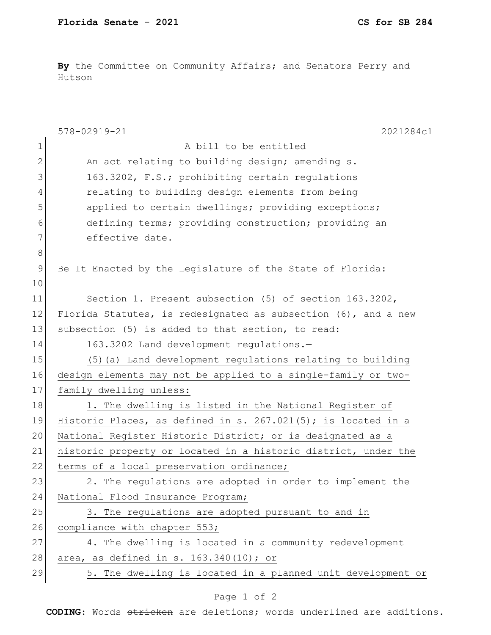By the Committee on Community Affairs; and Senators Perry and Hutson

|             | 578-02919-21<br>2021284c1                                         |
|-------------|-------------------------------------------------------------------|
| $\mathbf 1$ | A bill to be entitled                                             |
| 2           | An act relating to building design; amending s.                   |
| 3           | 163.3202, F.S.; prohibiting certain regulations                   |
| 4           | relating to building design elements from being                   |
| 5           | applied to certain dwellings; providing exceptions;               |
| 6           | defining terms; providing construction; providing an              |
| 7           | effective date.                                                   |
| 8           |                                                                   |
| $\mathsf 9$ | Be It Enacted by the Legislature of the State of Florida:         |
| 10          |                                                                   |
| 11          | Section 1. Present subsection (5) of section 163.3202,            |
| 12          | Florida Statutes, is redesignated as subsection $(6)$ , and a new |
| 13          | subsection (5) is added to that section, to read:                 |
| 14          | 163.3202 Land development regulations.-                           |
| 15          | (5) (a) Land development regulations relating to building         |
| 16          | design elements may not be applied to a single-family or two-     |
| 17          | family dwelling unless:                                           |
| 18          | 1. The dwelling is listed in the National Register of             |
| 19          | Historic Places, as defined in s. $267.021(5)$ ; is located in a  |
| 20          | National Register Historic District; or is designated as a        |
| 21          | historic property or located in a historic district, under the    |
| 22          | terms of a local preservation ordinance;                          |
| 23          | 2. The regulations are adopted in order to implement the          |
| 24          | National Flood Insurance Program;                                 |
| 25          | 3. The regulations are adopted pursuant to and in                 |
| 26          | compliance with chapter 553;                                      |
| 27          | 4. The dwelling is located in a community redevelopment           |
| 28          | area, as defined in s. 163.340(10); or                            |
| 29          | 5. The dwelling is located in a planned unit development or       |

## Page 1 of 2

**CODING**: Words stricken are deletions; words underlined are additions.